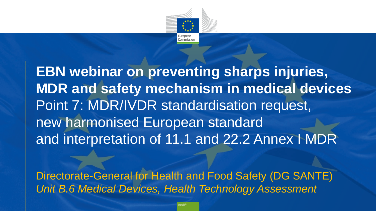

**EBN webinar on preventing sharps injuries, MDR and safety mechanism in medical devices** Point 7: MDR/IVDR standardisation request, new harmonised European standard and interpretation of 11.1 and 22.2 Annex I MDR

Directorate-General for Health and Food Safety (DG SANTE) *Unit B.6 Medical Devices, Health Technology Assessment*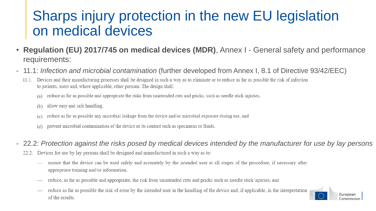### Sharps injury protection in the new EU legislation on medical devices

- **Regulation (EU) 2017/745 on medical devices (MDR)**, Annex I General safety and performance requirements:
- 11.1: *Infection and microbial contamination* (further developed from Annex I, 8.1 of Directive 93/42/EEC)
	- Devices and their manufacturing processes shall be designed in such a way as to eliminate or to reduce as far as possible the risk of infection 11.1. to patients, users and, where applicable, other persons. The design shall:
		- reduce as far as possible and appropriate the risks from unintended cuts and pricks, such as needle stick injuries,  $(a)$
		- allow easy and safe handling,  $(b)$
		- reduce as far as possible any microbial leakage from the device and/or microbial exposure during use, and  $(c)$
		- prevent microbial contamination of the device or its content such as specimens or fluids.  $(d)$
- 22.2: *Protection against the risks posed by medical devices intended by the manufacturer for use by lay persons*
	- Devices for use by lay persons shall be designed and manufactured in such a way as to:
		- ensure that the device can be used safely and accurately by the intended user at all stages of the procedure, if necessary after appropriate training and/or information.
		- reduce, as far as possible and appropriate, the risk from unintended cuts and pricks such as needle stick injuries, and  $\hspace{0.05cm}$
		- reduce as far as possible the risk of error by the intended user in the handling of the device and, if applicable, in the interpretation  $\overbrace{\phantom{12322111}}$ of the results.

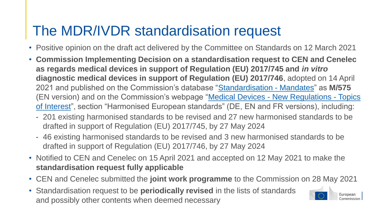# The MDR/IVDR standardisation request

- Positive opinion on the draft act delivered by the Committee on Standards on 12 March 2021
- **Commission Implementing Decision on a standardisation request to CEN and Cenelec as regards medical devices in support of Regulation (EU) 2017/745 and** *in vitro* **diagnostic medical devices in support of Regulation (EU) 2017/746**, adopted on 14 April 2021 and published on the Commission's database "[Standardisation -](https://ec.europa.eu/growth/tools-databases/mandates/index.cfm?fuseaction=search.detail&id=599) Mandates" as **M/575** (EN version) and on the Commission's webpage "Medical Devices - New Regulations - Topics [of Interest", section "Harmonised European standards" \(DE, EN and FR versions\), including:](https://ec.europa.eu/health/md_sector/new_regulations/guidance)
	- 201 existing harmonised standards to be revised and 27 new harmonised standards to be drafted in support of Regulation (EU) 2017/745, by 27 May 2024
	- 46 existing harmonised standards to be revised and 3 new harmonised standards to be drafted in support of Regulation (EU) 2017/746, by 27 May 2024
- Notified to CEN and Cenelec on 15 April 2021 and accepted on 12 May 2021 to make the **standardisation request fully applicable**
- CEN and Cenelec submitted the **joint work programme** to the Commission on 28 May 2021
- Standardisation request to be **periodically revised** in the lists of standards and possibly other contents when deemed necessary

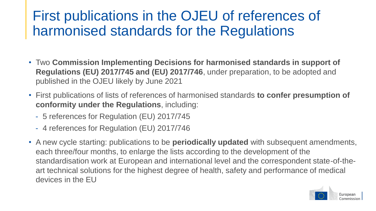## First publications in the OJEU of references of harmonised standards for the Regulations

- Two **Commission Implementing Decisions for harmonised standards in support of Regulations (EU) 2017/745 and (EU) 2017/746**, under preparation, to be adopted and published in the OJEU likely by June 2021
- First publications of lists of references of harmonised standards **to confer presumption of conformity under the Regulations**, including:
	- 5 references for Regulation (EU) 2017/745
	- 4 references for Regulation (EU) 2017/746
- A new cycle starting: publications to be **periodically updated** with subsequent amendments, each three/four months, to enlarge the lists according to the development of the standardisation work at European and international level and the correspondent state-of-theart technical solutions for the highest degree of health, safety and performance of medical devices in the EU

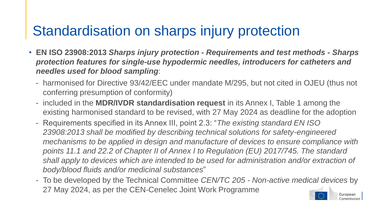## Standardisation on sharps injury protection

- **EN ISO 23908:2013** *Sharps injury protection - Requirements and test methods - Sharps protection features for single-use hypodermic needles, introducers for catheters and needles used for blood sampling*:
	- harmonised for Directive 93/42/EEC under mandate M/295, but not cited in OJEU (thus not conferring presumption of conformity)
	- included in the **MDR/IVDR standardisation request** in its Annex I, Table 1 among the existing harmonised standard to be revised, with 27 May 2024 as deadline for the adoption
	- Requirements specified in its Annex III, point 2.3: "*The existing standard EN ISO 23908:2013 shall be modified by describing technical solutions for safety-engineered mechanisms to be applied in design and manufacture of devices to ensure compliance with points 11.1 and 22.2 of Chapter II of Annex I to Regulation (EU) 2017/745. The standard shall apply to devices which are intended to be used for administration and/or extraction of body/blood fluids and/or medicinal substances*"
	- To be developed by the Technical Committee *CEN/TC 205 - Non-active medical devices* by 27 May 2024, as per the CEN-Cenelec Joint Work Programme European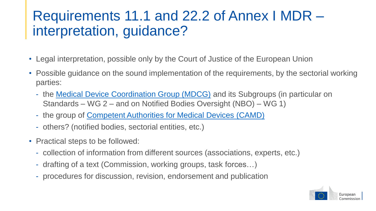## Requirements 11.1 and 22.2 of Annex I MDR – interpretation, guidance?

- Legal interpretation, possible only by the Court of Justice of the European Union
- Possible guidance on the sound implementation of the requirements, by the sectorial working parties:
	- the **Medical Device Coordination Group (MDCG)** and its Subgroups (in particular on Standards – WG 2 – and on Notified Bodies Oversight (NBO) – WG 1)
	- the group of **Competent Authorities for Medical Devices (CAMD)**
	- others? (notified bodies, sectorial entities, etc.)
- Practical steps to be followed:
	- collection of information from different sources (associations, experts, etc.)
	- drafting of a text (Commission, working groups, task forces…)
	- procedures for discussion, revision, endorsement and publication